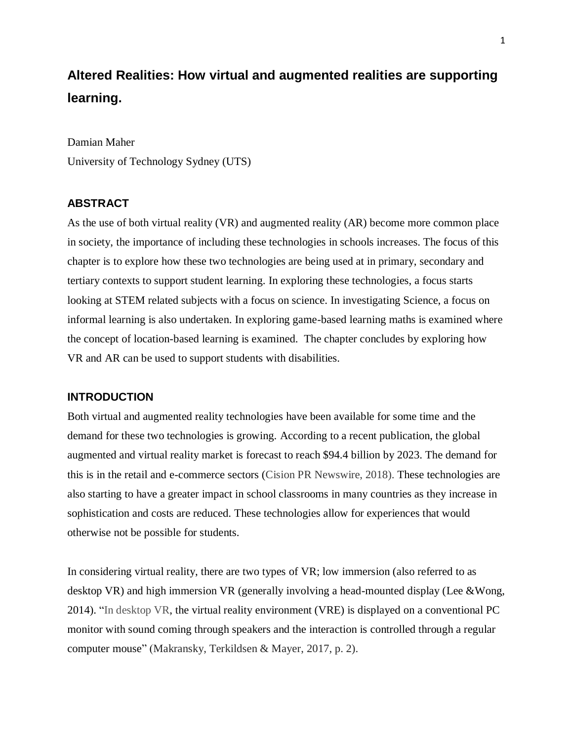# **Altered Realities: How virtual and augmented realities are supporting learning.**

Damian Maher University of Technology Sydney (UTS)

## **ABSTRACT**

As the use of both virtual reality (VR) and augmented reality (AR) become more common place in society, the importance of including these technologies in schools increases. The focus of this chapter is to explore how these two technologies are being used at in primary, secondary and tertiary contexts to support student learning. In exploring these technologies, a focus starts looking at STEM related subjects with a focus on science. In investigating Science, a focus on informal learning is also undertaken. In exploring game-based learning maths is examined where the concept of location-based learning is examined. The chapter concludes by exploring how VR and AR can be used to support students with disabilities.

## **INTRODUCTION**

Both virtual and augmented reality technologies have been available for some time and the demand for these two technologies is growing. According to a recent publication, the global augmented and virtual reality market is forecast to reach \$94.4 billion by 2023. The demand for this is in the retail and e-commerce sectors (Cision PR Newswire, 2018). These technologies are also starting to have a greater impact in school classrooms in many countries as they increase in sophistication and costs are reduced. These technologies allow for experiences that would otherwise not be possible for students.

In considering virtual reality, there are two types of VR; low immersion (also referred to as desktop VR) and high immersion VR (generally involving a head-mounted display (Lee &Wong, [2014\)](https://www-sciencedirect-com.ezproxy.lib.uts.edu.au/science/article/pii/S0959475217303274#bib28). "In desktop VR, the virtual reality environment (VRE) is displayed on a conventional PC monitor with sound coming through speakers and the interaction is controlled through a regular computer mouse" (Makransky, Terkildsen & Mayer, 2017, p. 2).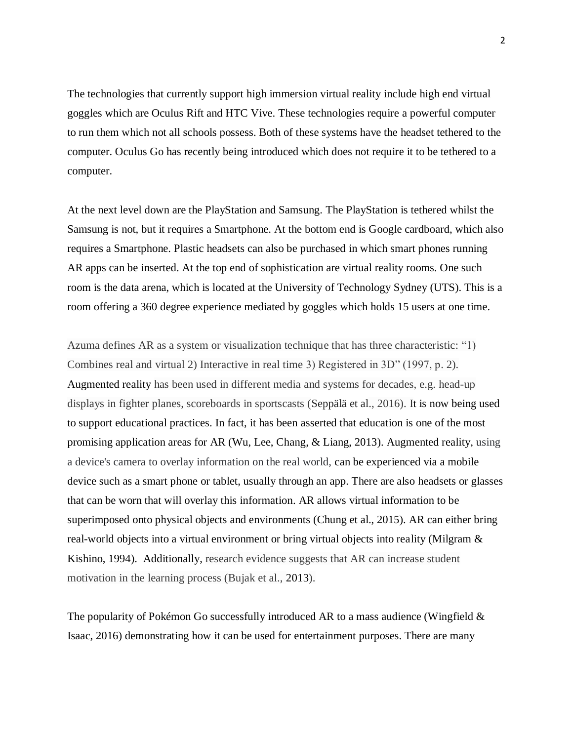The technologies that currently support high immersion virtual reality include high end virtual goggles which are Oculus Rift and HTC Vive. These technologies require a powerful computer to run them which not all schools possess. Both of these systems have the headset tethered to the computer. Oculus Go has recently being introduced which does not require it to be tethered to a computer.

At the next level down are the PlayStation and Samsung. The PlayStation is tethered whilst the Samsung is not, but it requires a Smartphone. At the bottom end is Google cardboard, which also requires a Smartphone. Plastic headsets can also be purchased in which smart phones running AR apps can be inserted. At the top end of sophistication are virtual reality rooms. One such room is the data arena, which is located at the University of Technology Sydney (UTS). This is a room offering a 360 degree experience mediated by goggles which holds 15 users at one time.

Azuma defines AR as a system or visualization technique that has three characteristic: "1) Combines real and virtual 2) Interactive in real time 3) Registered in 3D" (1997, p. 2). Augmented reality has been used in different media and systems for decades, e.g. head-up displays in fighter planes, scoreboards in sportscasts (Seppälä et al., 2016). It is now being used to support educational practices. In fact, it has been asserted that education is one of the most promising application areas for AR [\(Wu, Lee, Chang, & Liang, 2013\)](https://www-sciencedirect-com.ezproxy.lib.uts.edu.au/science/article/pii/S036013151400164X#bib28). Augmented reality, using a device's camera to overlay information on the real world, can be experienced via a mobile device such as a smart phone or tablet, usually through an app. There are also headsets or glasses that can be worn that will overlay this information. AR allows virtual information to be superimposed onto physical objects and environments [\(Chung et](https://www-sciencedirect-com.ezproxy.lib.uts.edu.au/science/article/pii/S0261517718300475#bib20) al., 2015). AR can either bring real-world objects into a virtual environment or bring virtual objects into reality [\(Milgram &](https://www-sciencedirect-com.ezproxy.lib.uts.edu.au/science/article/pii/S0261517718300475#bib69)  [Kishino, 1994\)](https://www-sciencedirect-com.ezproxy.lib.uts.edu.au/science/article/pii/S0261517718300475#bib69). Additionally, research evidence suggests that AR can increase student motivation in the learning process (Bujak et al., [2013\)](https://link-springer-com.ezproxy.lib.uts.edu.au/article/10.1007/s10055-018-0347-2#CR10).

The popularity of Pokémon Go successfully introduced AR to a mass audience (Wingfield  $&$ Isaac, 2016) demonstrating how it can be used for entertainment purposes. There are many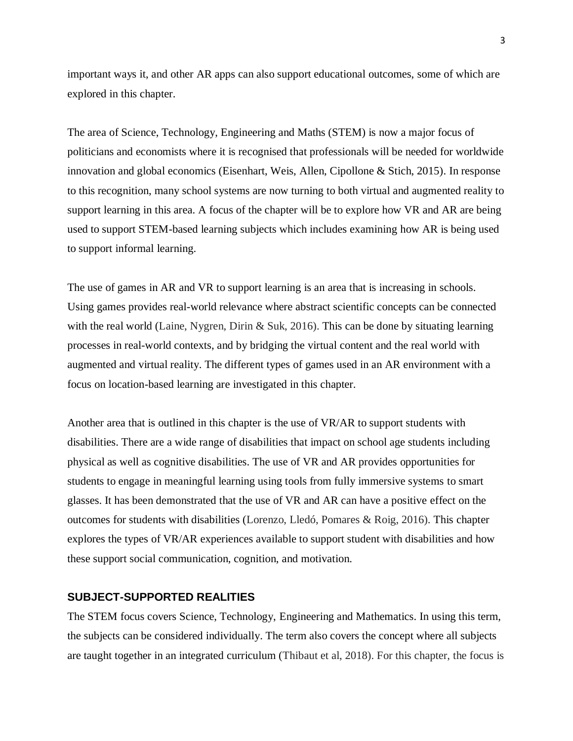important ways it, and other AR apps can also support educational outcomes, some of which are explored in this chapter.

The area of Science, Technology, Engineering and Maths (STEM) is now a major focus of politicians and economists where it is recognised that professionals will be needed for worldwide innovation and global economics (Eisenhart, Weis, Allen, Cipollone & Stich, 2015). In response to this recognition, many school systems are now turning to both virtual and augmented reality to support learning in this area. A focus of the chapter will be to explore how VR and AR are being used to support STEM-based learning subjects which includes examining how AR is being used to support informal learning.

The use of games in AR and VR to support learning is an area that is increasing in schools. Using games provides real-world relevance where abstract scientific concepts can be connected with the real world (Laine, Nygren, Dirin & Suk, 2016). This can be done by situating learning processes in real-world contexts, and by bridging the virtual content and the real world with augmented and virtual reality. The different types of games used in an AR environment with a focus on location-based learning are investigated in this chapter.

Another area that is outlined in this chapter is the use of VR/AR to support students with disabilities. There are a wide range of disabilities that impact on school age students including physical as well as cognitive disabilities. The use of VR and AR provides opportunities for students to engage in meaningful learning using tools from fully immersive systems to smart glasses. It has been demonstrated that the use of VR and AR can have a positive effect on the outcomes for students with disabilities (Lorenzo, Lledó, Pomares & Roig, 2016). This chapter explores the types of VR/AR experiences available to support student with disabilities and how these support social communication, cognition, and motivation.

## **SUBJECT-SUPPORTED REALITIES**

The STEM focus covers Science, Technology, Engineering and Mathematics. In using this term, the subjects can be considered individually. The term also covers the concept where all subjects are taught together in an integrated curriculum (Thibaut et al, 2018). For this chapter, the focus is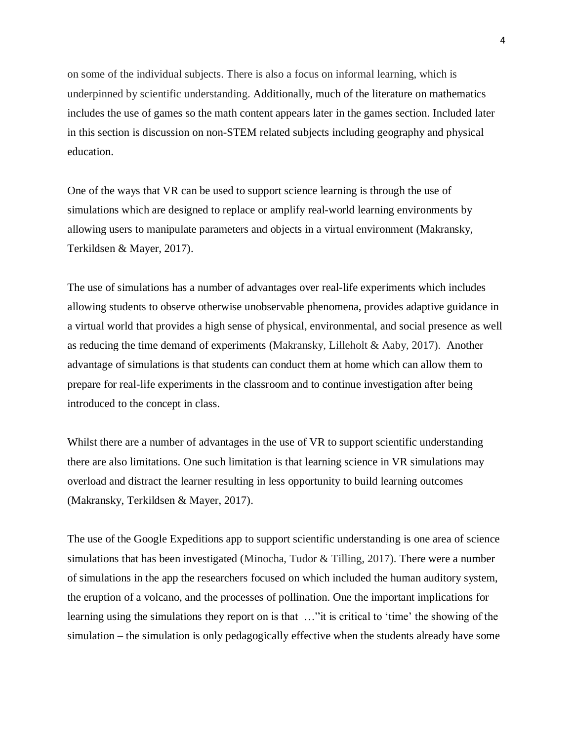on some of the individual subjects. There is also a focus on informal learning, which is underpinned by scientific understanding. Additionally, much of the literature on mathematics includes the use of games so the math content appears later in the games section. Included later in this section is discussion on non-STEM related subjects including geography and physical education.

One of the ways that VR can be used to support science learning is through the use of simulations which are designed to replace or amplify real-world learning environments by allowing users to manipulate parameters and objects in a virtual environment (Makransky, Terkildsen & Mayer, 2017).

The use of simulations has a number of advantages over real-life experiments which includes allowing students to observe otherwise unobservable phenomena, provides adaptive guidance in a virtual world that provides a high sense of physical, environmental, and social presence as well as reducing the time demand of experiments (Makransky, Lilleholt & Aaby, 2017). Another advantage of simulations is that students can conduct them at home which can allow them to prepare for real-life experiments in the classroom and to continue investigation after being introduced to the concept in class.

Whilst there are a number of advantages in the use of VR to support scientific understanding there are also limitations. One such limitation is that learning science in VR simulations may overload and distract the learner resulting in less opportunity to build learning outcomes (Makransky, Terkildsen & Mayer, 2017).

The use of the Google Expeditions app to support scientific understanding is one area of science simulations that has been investigated (Minocha, Tudor & Tilling, 2017). There were a number of simulations in the app the researchers focused on which included the human auditory system, the eruption of a volcano, and the processes of pollination. One the important implications for learning using the simulations they report on is that …"it is critical to 'time' the showing of the simulation – the simulation is only pedagogically effective when the students already have some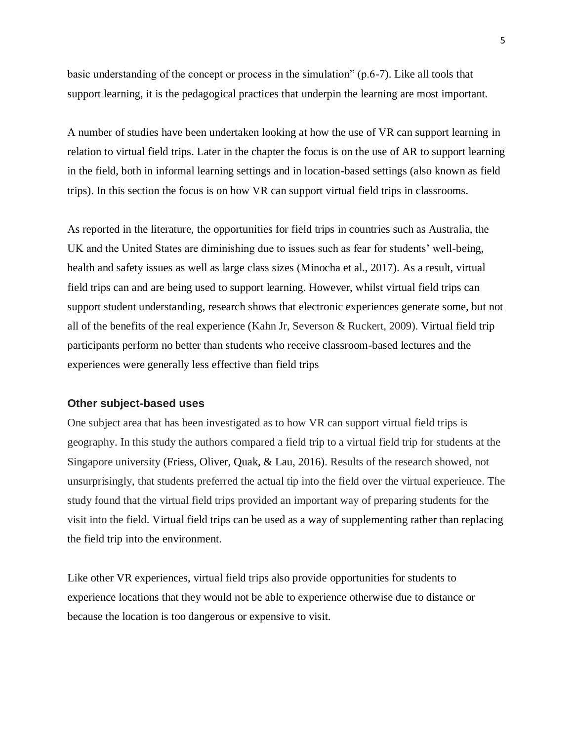basic understanding of the concept or process in the simulation" (p.6-7). Like all tools that support learning, it is the pedagogical practices that underpin the learning are most important.

A number of studies have been undertaken looking at how the use of VR can support learning in relation to virtual field trips. Later in the chapter the focus is on the use of AR to support learning in the field, both in informal learning settings and in location-based settings (also known as field trips). In this section the focus is on how VR can support virtual field trips in classrooms.

As reported in the literature, the opportunities for field trips in countries such as Australia, the UK and the United States are diminishing due to issues such as fear for students' well-being, health and safety issues as well as large class sizes (Minocha et al., 2017). As a result, virtual field trips can and are being used to support learning. However, whilst virtual field trips can support student understanding, research shows that electronic experiences generate some, but not all of the benefits of the real experience (Kahn Jr, Severson & Ruckert, 2009). Virtual field trip participants perform no better than students who receive classroom-based lectures and the experiences were generally less effective than field trips

#### **Other subject-based uses**

One subject area that has been investigated as to how VR can support virtual field trips is geography. In this study the authors compared a field trip to a virtual field trip for students at the Singapore university (Friess, Oliver, Quak, & Lau, 2016). Results of the research showed, not unsurprisingly, that students preferred the actual tip into the field over the virtual experience. The study found that the virtual field trips provided an important way of preparing students for the visit into the field. Virtual field trips can be used as a way of supplementing rather than replacing the field trip into the environment.

Like other VR experiences, virtual field trips also provide opportunities for students to experience locations that they would not be able to experience otherwise due to distance or because the location is too dangerous or expensive to visit.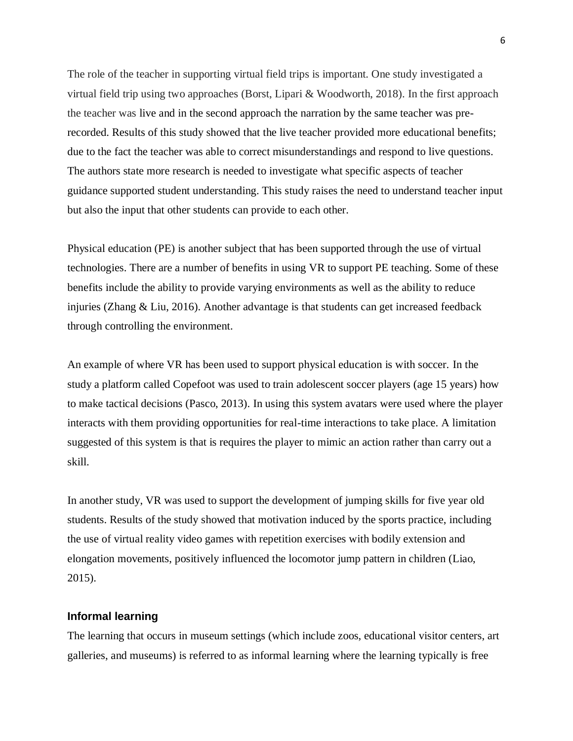The role of the teacher in supporting virtual field trips is important. One study investigated a virtual field trip using two approaches (Borst, Lipari & Woodworth, 2018). In the first approach the teacher was live and in the second approach the narration by the same teacher was prerecorded. Results of this study showed that the live teacher provided more educational benefits; due to the fact the teacher was able to correct misunderstandings and respond to live questions. The authors state more research is needed to investigate what specific aspects of teacher guidance supported student understanding. This study raises the need to understand teacher input but also the input that other students can provide to each other.

Physical education (PE) is another subject that has been supported through the use of virtual technologies. There are a number of benefits in using VR to support PE teaching. Some of these benefits include the ability to provide varying environments as well as the ability to reduce injuries (Zhang & Liu, 2016). Another advantage is that students can get increased feedback through controlling the environment.

An example of where VR has been used to support physical education is with soccer. In the study a platform called Copefoot was used to train adolescent soccer players (age 15 years) how to make tactical decisions (Pasco, 2013). In using this system avatars were used where the player interacts with them providing opportunities for real-time interactions to take place. A limitation suggested of this system is that is requires the player to mimic an action rather than carry out a skill.

In another study, VR was used to support the development of jumping skills for five year old students. Results of the study showed that motivation induced by the sports practice, including the use of virtual reality video games with repetition exercises with bodily extension and elongation movements, positively influenced the locomotor jump pattern in children (Liao, 2015).

## **Informal learning**

The learning that occurs in museum settings (which include zoos, educational visitor centers, art galleries, and museums) is referred to as informal learning where the learning typically is free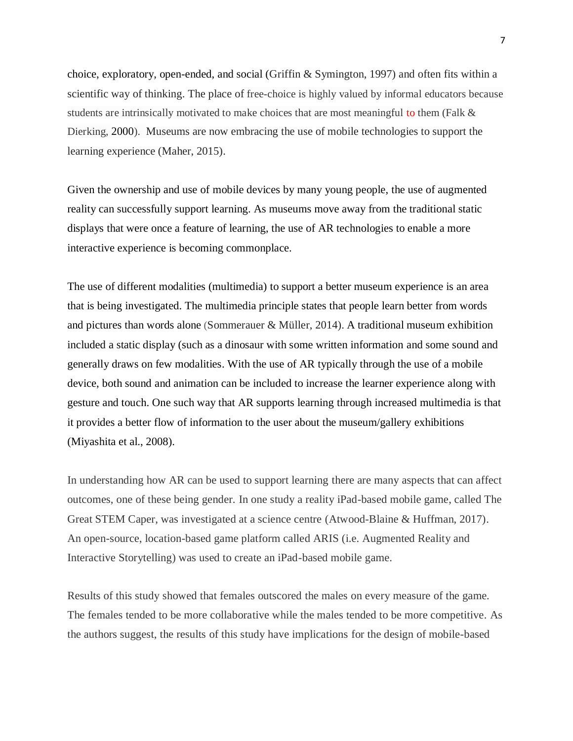choice, exploratory, open-ended, and social (Griffin & Symington, 1997) and often fits within a scientific way of thinking. The place of free-choice is highly valued by informal educators because students are intrinsically motivated to make choices that are most meaningful to them (Falk & Dierking, [2000](https://link.springer.com/article/10.1007/s10763-017-9801-y#CR9)). Museums are now embracing the use of mobile technologies to support the learning experience (Maher, 2015).

Given the ownership and use of mobile devices by many young people, the use of augmented reality can successfully support learning. As museums move away from the traditional static displays that were once a feature of learning, the use of AR technologies to enable a more interactive experience is becoming commonplace.

The use of different modalities (multimedia) to support a better museum experience is an area that is being investigated. The multimedia principle states that people learn better from words and pictures than words alone (Sommerauer & Müller, 2014). A traditional museum exhibition included a static display (such as a dinosaur with some written information and some sound and generally draws on few modalities. With the use of AR typically through the use of a mobile device, both sound and animation can be included to increase the learner experience along with gesture and touch. One such way that AR supports learning through increased multimedia is that it provides a better flow of information to the user about the museum/gallery exhibitions (Miyashita et al., 2008).

In understanding how AR can be used to support learning there are many aspects that can affect outcomes, one of these being gender. In one study a reality iPad-based mobile game, called The Great STEM Caper, was investigated at a science centre (Atwood-Blaine & Huffman, 2017). An open-source, location-based game platform called ARIS (i.e. Augmented Reality and Interactive Storytelling) was used to create an iPad-based mobile game.

Results of this study showed that females outscored the males on every measure of the game. The females tended to be more collaborative while the males tended to be more competitive. As the authors suggest, the results of this study have implications for the design of mobile-based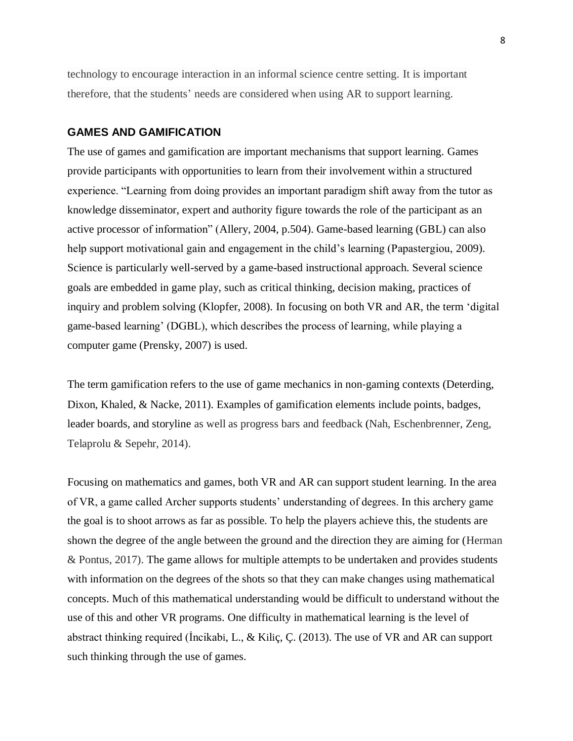technology to encourage interaction in an informal science centre setting. It is important therefore, that the students' needs are considered when using AR to support learning.

#### **GAMES AND GAMIFICATION**

The use of games and gamification are important mechanisms that support learning. Games provide participants with opportunities to learn from their involvement within a structured experience. "Learning from doing provides an important paradigm shift away from the tutor as knowledge disseminator, expert and authority figure towards the role of the participant as an active processor of information" (Allery, 2004, p.504). Game-based learning (GBL) can also help support motivational gain and engagement in the child's learning (Papastergiou, [2009\)](https://link-springer-com.ezproxy.lib.uts.edu.au/article/10.1007/s10055-018-0347-2#CR50). Science is particularly well-served by a game-based instructional approach. Several science goals are embedded in game play, such as critical thinking, decision making, practices of inquiry and problem solving (Klopfer, [2008\)](https://link.springer.com/article/10.1007/s10763-017-9801-y#CR13). In focusing on both VR and AR, the term 'digital game-based learning' (DGBL), which describes the process of learning, while playing a computer game (Prensky, 2007) is used.

The term gamification refers to the use of game mechanics in non-gaming contexts (Deterding, Dixon, Khaled, & Nacke, 2011). Examples of gamification elements include points, badges, leader boards, and storyline as well as progress bars and feedback (Nah, Eschenbrenner, Zeng, Telaprolu & Sepehr, 2014).

Focusing on mathematics and games, both VR and AR can support student learning. In the area of VR, a game called Archer supports students' understanding of degrees. In this archery game the goal is to shoot arrows as far as possible. To help the players achieve this, the students are shown the degree of the angle between the ground and the direction they are aiming for (Herman & Pontus, 2017). The game allows for multiple attempts to be undertaken and provides students with information on the degrees of the shots so that they can make changes using mathematical concepts. Much of this mathematical understanding would be difficult to understand without the use of this and other VR programs. One difficulty in mathematical learning is the level of abstract thinking required (İncikabi, L., & Kiliç, Ç. (2013). The use of VR and AR can support such thinking through the use of games.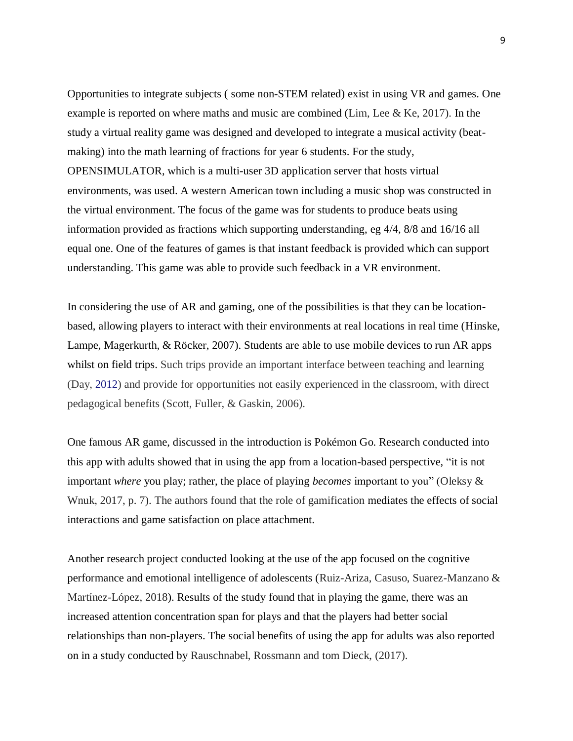Opportunities to integrate subjects ( some non-STEM related) exist in using VR and games. One example is reported on where maths and music are combined (Lim, Lee & Ke, 2017). In the study a virtual reality game was designed and developed to integrate a musical activity (beatmaking) into the math learning of fractions for year 6 students. For the study, OPENSIMULATOR, which is a multi-user 3D application server that hosts virtual environments, was used. A western American town including a music shop was constructed in the virtual environment. The focus of the game was for students to produce beats using information provided as fractions which supporting understanding, eg 4/4, 8/8 and 16/16 all equal one. One of the features of games is that instant feedback is provided which can support understanding. This game was able to provide such feedback in a VR environment.

In considering the use of AR and gaming, one of the possibilities is that they can be locationbased, allowing players to interact with their environments at real locations in real time [\(Hinske,](https://www-sciencedirect-com.ezproxy.lib.uts.edu.au/science/article/pii/S0747563217303771#bib14)  [Lampe, Magerkurth, & Röcker, 2007\)](https://www-sciencedirect-com.ezproxy.lib.uts.edu.au/science/article/pii/S0747563217303771#bib14). Students are able to use mobile devices to run AR apps whilst on field trips. Such trips provide an important interface between teaching and learning (Day, [2012\)](https://www-tandfonline-com.ezproxy.lib.uts.edu.au/doi/full/10.1080/03098265.2016.1174818) and provide for opportunities not easily experienced in the classroom, with direct pedagogical benefits (Scott, Fuller, & Gaskin, 2006).

One famous AR game, discussed in the introduction is Pokémon Go. Research conducted into this app with adults showed that in using the app from a location-based perspective, "it is not important *where* you play; rather, the place of playing *becomes* important to you" (Oleksy & Wnuk, 2017, p. 7). The authors found that the role of gamification mediates the effects of social interactions and game satisfaction on place attachment.

Another research project conducted looking at the use of the app focused on the cognitive performance and emotional intelligence of adolescents (Ruiz-Ariza, Casuso, Suarez-Manzano & Martínez-López, 2018). Results of the study found that in playing the game, there was an increased attention concentration span for plays and that the players had better social relationships than non-players. The social benefits of using the app for adults was also reported on in a study conducted by Rauschnabel, Rossmann and tom Dieck, (2017).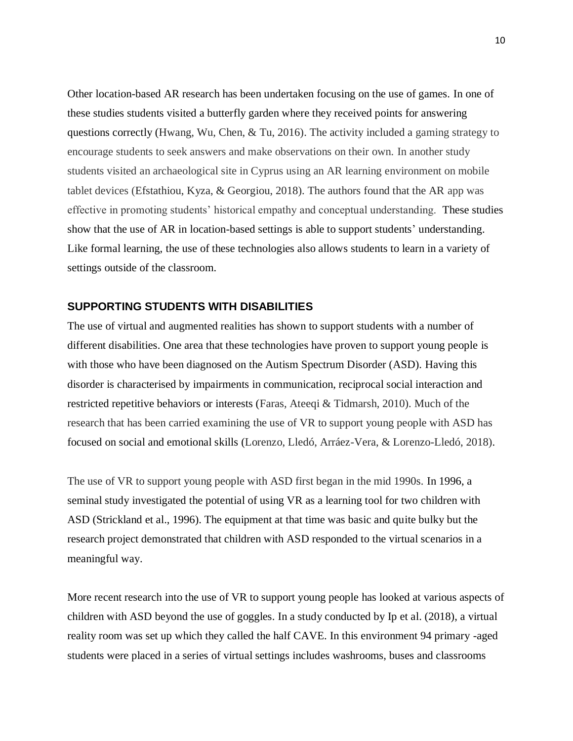Other location-based AR research has been undertaken focusing on the use of games. In one of these studies students visited a butterfly garden where they received points for answering questions correctly (Hwang, Wu, Chen, & Tu, 2016). The activity included a gaming strategy to encourage students to seek answers and make observations on their own. In another study students visited an archaeological site in Cyprus using an AR learning environment on mobile tablet devices (Efstathiou, Kyza, & Georgiou, 2018). The authors found that the AR app was effective in promoting students' historical empathy and conceptual understanding. These studies show that the use of AR in location-based settings is able to support students' understanding. Like formal learning, the use of these technologies also allows students to learn in a variety of settings outside of the classroom.

## **SUPPORTING STUDENTS WITH DISABILITIES**

The use of virtual and augmented realities has shown to support students with a number of different disabilities. One area that these technologies have proven to support young people is with those who have been diagnosed on the Autism Spectrum Disorder (ASD). Having this disorder is characterised by impairments in communication, reciprocal social interaction and restricted repetitive behaviors or interests (Faras, Ateeqi & Tidmarsh, 2010). Much of the research that has been carried examining the use of VR to support young people with ASD has focused on social and emotional skills (Lorenzo, Lledó, Arráez-Vera, & Lorenzo-Lledó, 2018).

The use of VR to support young people with ASD first began in the mid 1990s. In 1996, a seminal study investigated the potential of using VR as a learning tool for two children with ASD (Strickland et al., 1996). The equipment at that time was basic and quite bulky but the research project demonstrated that children with ASD responded to the virtual scenarios in a meaningful way.

More recent research into the use of VR to support young people has looked at various aspects of children with ASD beyond the use of goggles. In a study conducted by Ip et al. (2018), a virtual reality room was set up which they called the half CAVE. In this environment 94 primary -aged students were placed in a series of virtual settings includes washrooms, buses and classrooms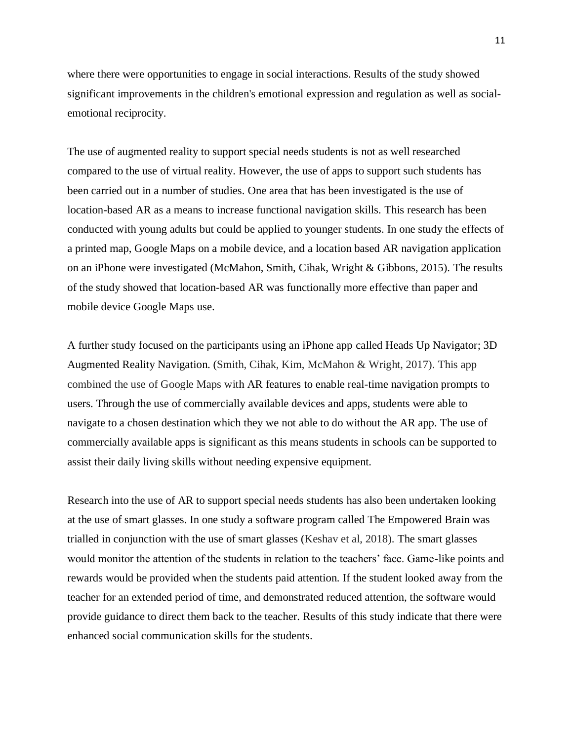where there were opportunities to engage in social interactions. Results of the study showed significant improvements in the children's emotional expression and regulation as well as socialemotional reciprocity.

The use of augmented reality to support special needs students is not as well researched compared to the use of virtual reality. However, the use of apps to support such students has been carried out in a number of studies. One area that has been investigated is the use of location-based AR as a means to increase functional navigation skills. This research has been conducted with young adults but could be applied to younger students. In one study the effects of a printed map, Google Maps on a mobile device, and a location based AR navigation application on an iPhone were investigated (McMahon, Smith, Cihak, Wright & Gibbons, 2015). The results of the study showed that location-based AR was functionally more effective than paper and mobile device Google Maps use.

A further study focused on the participants using an iPhone app called Heads Up Navigator; 3D Augmented Reality Navigation. (Smith, Cihak, Kim, McMahon & Wright, 2017). This app combined the use of Google Maps with AR features to enable real-time navigation prompts to users. Through the use of commercially available devices and apps, students were able to navigate to a chosen destination which they we not able to do without the AR app. The use of commercially available apps is significant as this means students in schools can be supported to assist their daily living skills without needing expensive equipment.

Research into the use of AR to support special needs students has also been undertaken looking at the use of smart glasses. In one study a software program called The Empowered Brain was trialled in conjunction with the use of smart glasses (Keshav et al, 2018). The smart glasses would monitor the attention of the students in relation to the teachers' face. Game-like points and rewards would be provided when the students paid attention. If the student looked away from the teacher for an extended period of time, and demonstrated reduced attention, the software would provide guidance to direct them back to the teacher. Results of this study indicate that there were enhanced social communication skills for the students.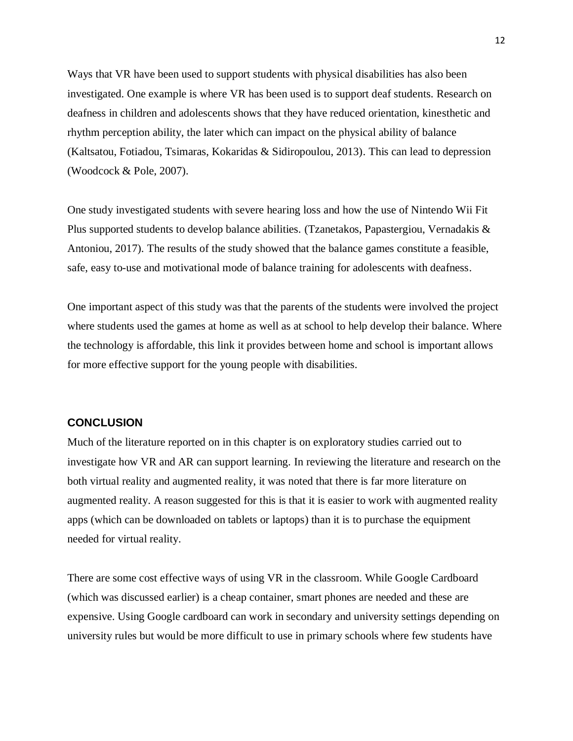Ways that VR have been used to support students with physical disabilities has also been investigated. One example is where VR has been used is to support deaf students. Research on deafness in children and adolescents shows that they have reduced orientation, kinesthetic and rhythm perception ability, the later which can impact on the physical ability of balance (Kaltsatou, Fotiadou, Tsimaras, Kokaridas & Sidiropoulou, 2013). This can lead to depression (Woodcock & Pole, 2007).

One study investigated students with severe hearing loss and how the use of Nintendo Wii Fit Plus supported students to develop balance abilities. (Tzanetakos, Papastergiou, Vernadakis & Antoniou, 2017). The results of the study showed that the balance games constitute a feasible, safe, easy to-use and motivational mode of balance training for adolescents with deafness.

One important aspect of this study was that the parents of the students were involved the project where students used the games at home as well as at school to help develop their balance. Where the technology is affordable, this link it provides between home and school is important allows for more effective support for the young people with disabilities.

# **CONCLUSION**

Much of the literature reported on in this chapter is on exploratory studies carried out to investigate how VR and AR can support learning. In reviewing the literature and research on the both virtual reality and augmented reality, it was noted that there is far more literature on augmented reality. A reason suggested for this is that it is easier to work with augmented reality apps (which can be downloaded on tablets or laptops) than it is to purchase the equipment needed for virtual reality.

There are some cost effective ways of using VR in the classroom. While Google Cardboard (which was discussed earlier) is a cheap container, smart phones are needed and these are expensive. Using Google cardboard can work in secondary and university settings depending on university rules but would be more difficult to use in primary schools where few students have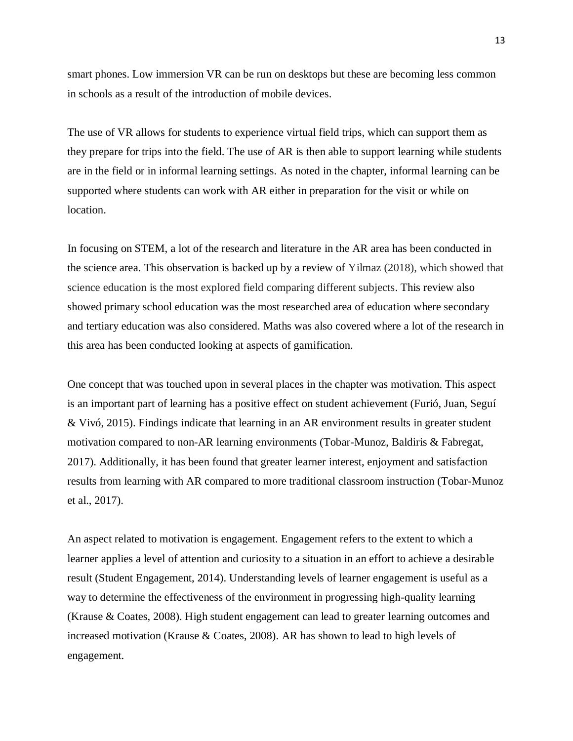smart phones. Low immersion VR can be run on desktops but these are becoming less common in schools as a result of the introduction of mobile devices.

The use of VR allows for students to experience virtual field trips, which can support them as they prepare for trips into the field. The use of AR is then able to support learning while students are in the field or in informal learning settings. As noted in the chapter, informal learning can be supported where students can work with AR either in preparation for the visit or while on location.

In focusing on STEM, a lot of the research and literature in the AR area has been conducted in the science area. This observation is backed up by a review of Yilmaz (2018), which showed that science education is the most explored field comparing different subjects. This review also showed primary school education was the most researched area of education where secondary and tertiary education was also considered. Maths was also covered where a lot of the research in this area has been conducted looking at aspects of gamification.

One concept that was touched upon in several places in the chapter was motivation. This aspect is an important part of learning has a positive effect on student achievement (Furió, Juan, Seguí & Vivó, 2015). Findings indicate that learning in an AR environment results in greater student motivation compared to non-AR learning environments (Tobar-Munoz, Baldiris & Fabregat, 2017). Additionally, it has been found that greater learner interest, enjoyment and satisfaction results from learning with AR compared to more traditional classroom instruction (Tobar-Munoz et al., 2017).

An aspect related to motivation is engagement. Engagement refers to the extent to which a learner applies a level of attention and curiosity to a situation in an effort to achieve a desirable result (Student Engagement, 2014). Understanding levels of learner engagement is useful as a way to determine the effectiveness of the environment in progressing high-quality learning (Krause & Coates, 2008). High student engagement can lead to greater learning outcomes and increased motivation (Krause & Coates, 2008). AR has shown to lead to high levels of engagement.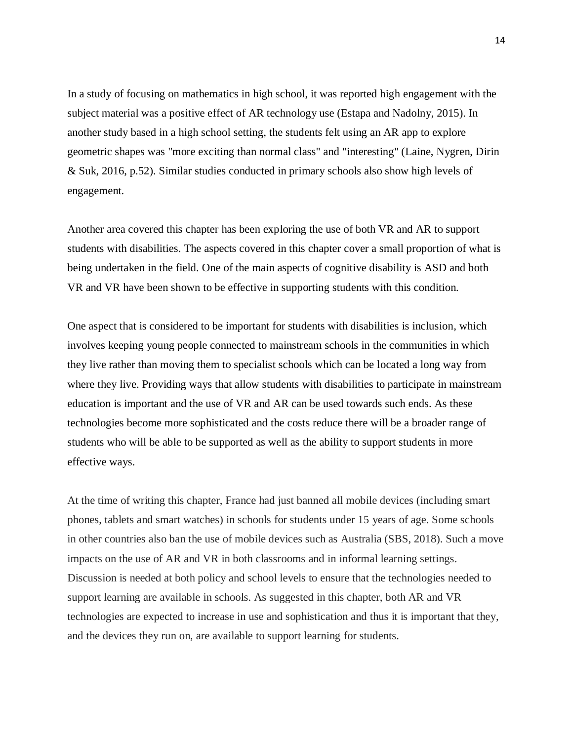In a study of focusing on mathematics in high school, it was reported high engagement with the subject material was a positive effect of AR technology use (Estapa and Nadolny, 2015). In another study based in a high school setting, the students felt using an AR app to explore geometric shapes was "more exciting than normal class" and "interesting" (Laine, Nygren, Dirin & Suk, 2016, p.52). Similar studies conducted in primary schools also show high levels of engagement.

Another area covered this chapter has been exploring the use of both VR and AR to support students with disabilities. The aspects covered in this chapter cover a small proportion of what is being undertaken in the field. One of the main aspects of cognitive disability is ASD and both VR and VR have been shown to be effective in supporting students with this condition.

One aspect that is considered to be important for students with disabilities is inclusion, which involves keeping young people connected to mainstream schools in the communities in which they live rather than moving them to specialist schools which can be located a long way from where they live. Providing ways that allow students with disabilities to participate in mainstream education is important and the use of VR and AR can be used towards such ends. As these technologies become more sophisticated and the costs reduce there will be a broader range of students who will be able to be supported as well as the ability to support students in more effective ways.

At the time of writing this chapter, France had just banned all mobile devices (including smart phones, tablets and smart watches) in schools for students under 15 years of age. Some schools in other countries also ban the use of mobile devices such as Australia (SBS, 2018). Such a move impacts on the use of AR and VR in both classrooms and in informal learning settings. Discussion is needed at both policy and school levels to ensure that the technologies needed to support learning are available in schools. As suggested in this chapter, both AR and VR technologies are expected to increase in use and sophistication and thus it is important that they, and the devices they run on, are available to support learning for students.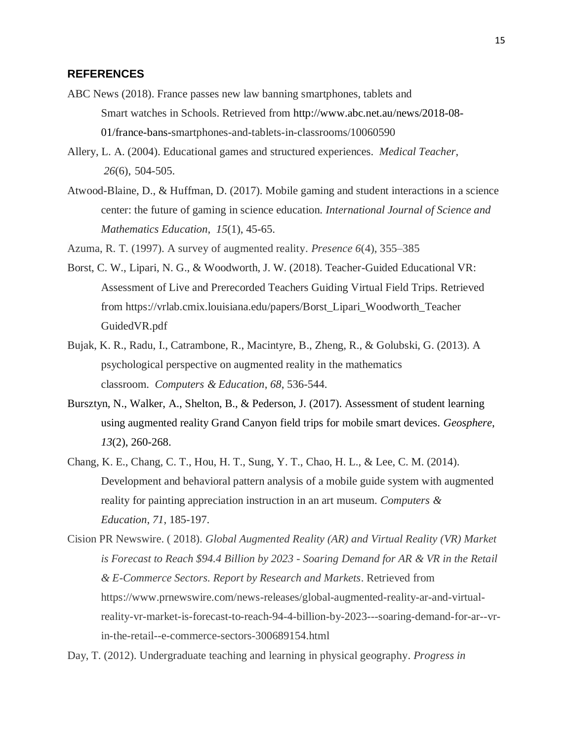## **REFERENCES**

- ABC News (2018). France passes new law banning smartphones, tablets and Smart watches in Schools. Retrieved from http://www.abc.net.au/news/2018-08- 01/france-bans-smartphones-and-tablets-in-classrooms/10060590
- Allery, L. A. (2004). Educational games and structured experiences. *Medical Teacher*, *26*(6), 504-505.
- Atwood-Blaine, D., & Huffman, D. (2017). Mobile gaming and student interactions in a science center: the future of gaming in science education. *International Journal of Science and Mathematics Education*, *15*(1), 45-65.
- Azuma, R. T. (1997). A survey of augmented reality. *Presence 6*(4), 355–385
- Borst, C. W., Lipari, N. G., & Woodworth, J. W. (2018). Teacher-Guided Educational VR: Assessment of Live and Prerecorded Teachers Guiding Virtual Field Trips. Retrieved from https://vrlab.cmix.louisiana.edu/papers/Borst\_Lipari\_Woodworth\_Teacher GuidedVR.pdf
- Bujak, K. R., Radu, I., Catrambone, R., Macintyre, B., Zheng, R., & Golubski, G. (2013). A psychological perspective on augmented reality in the mathematics classroom. *Computers & Education*, *68*, 536-544.
- Bursztyn, N., Walker, A., Shelton, B., & Pederson, J. (2017). Assessment of student learning using augmented reality Grand Canyon field trips for mobile smart devices. *Geosphere*, *13*(2), 260-268.
- Chang, K. E., Chang, C. T., Hou, H. T., Sung, Y. T., Chao, H. L., & Lee, C. M. (2014). Development and behavioral pattern analysis of a mobile guide system with augmented reality for painting appreciation instruction in an art museum. *Computers & Education*, *71*, 185-197.
- Cision PR Newswire. ( 2018). *Global Augmented Reality (AR) and Virtual Reality (VR) Market is Forecast to Reach \$94.4 Billion by 2023 - Soaring Demand for AR & VR in the Retail & E-Commerce Sectors. Report by Research and Markets*. Retrieved from https://www.prnewswire.com/news-releases/global-augmented-reality-ar-and-virtualreality-vr-market-is-forecast-to-reach-94-4-billion-by-2023---soaring-demand-for-ar--vrin-the-retail--e-commerce-sectors-300689154.html

Day, T. (2012). Undergraduate teaching and learning in physical geography. *Progress in*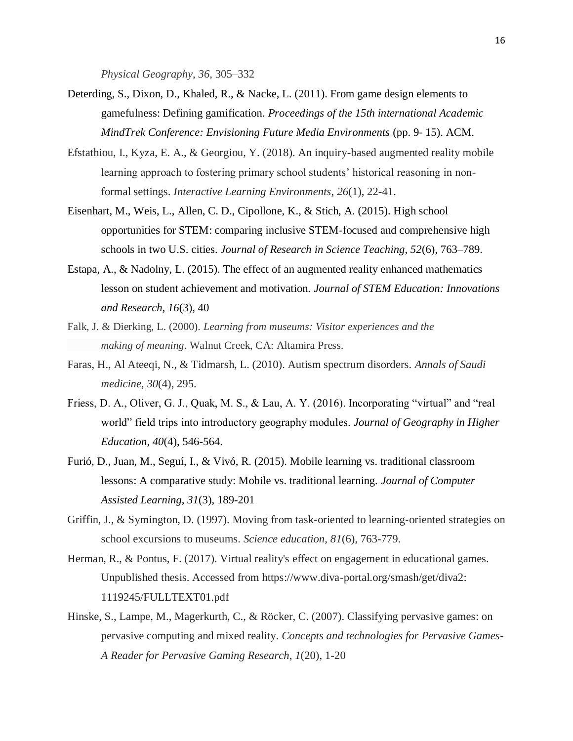*Physical Geography, 36*, 305–332

- Deterding, S., Dixon, D., Khaled, R., & Nacke, L. (2011). From game design elements to gamefulness: Defining gamification. *Proceedings of the 15th international Academic MindTrek Conference: Envisioning Future Media Environments* (pp. 9‐ 15). ACM.
- Efstathiou, I., Kyza, E. A., & Georgiou, Y. (2018). An inquiry-based augmented reality mobile learning approach to fostering primary school students' historical reasoning in nonformal settings. *Interactive Learning Environments*, *26*(1), 22-41.
- Eisenhart, M., Weis, L., Allen, C. D., Cipollone, K., & Stich, A. (2015). High school opportunities for STEM: comparing inclusive STEM-focused and comprehensive high schools in two U.S. cities. *Journal of Research in Science Teaching, 52*(6), 763–789.
- Estapa, A., & Nadolny, L. (2015). The effect of an augmented reality enhanced mathematics lesson on student achievement and motivation. *Journal of STEM Education: Innovations and Research, 16*(3), 40
- Falk, J. & Dierking, L. (2000). *Learning from museums: Visitor experiences and the making of meaning*. Walnut Creek, CA: Altamira Press.
- Faras, H., Al Ateeqi, N., & Tidmarsh, L. (2010). Autism spectrum disorders. *Annals of Saudi medicine*, *30*(4), 295.
- Friess, D. A., Oliver, G. J., Quak, M. S., & Lau, A. Y. (2016). Incorporating "virtual" and "real world" field trips into introductory geography modules. *Journal of Geography in Higher Education*, *40*(4), 546-564.
- Furió, D., Juan, M., Seguí, I., & Vivó, R. (2015). Mobile learning vs. traditional classroom lessons: A comparative study: Mobile vs. traditional learning. *Journal of Computer Assisted Learning, 31*(3), 189-201
- Griffin, J., & Symington, D. (1997). Moving from task-oriented to learning-oriented strategies on school excursions to museums. *Science education*, *81*(6), 763-779.
- Herman, R., & Pontus, F. (2017). Virtual reality's effect on engagement in educational games. Unpublished thesis. Accessed from https://www.diva-portal.org/smash/get/diva2: 1119245/FULLTEXT01.pdf
- Hinske, S., Lampe, M., Magerkurth, C., & Röcker, C. (2007). Classifying pervasive games: on pervasive computing and mixed reality. *Concepts and technologies for Pervasive Games-A Reader for Pervasive Gaming Research*, *1*(20), 1-20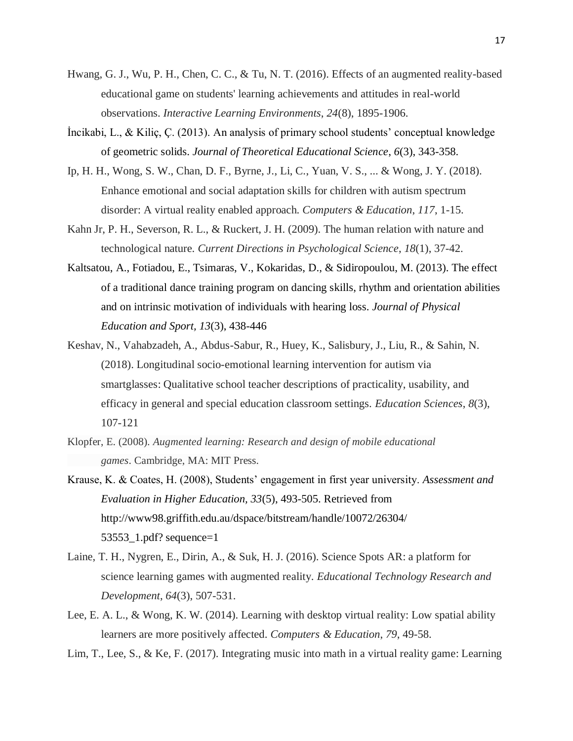- Hwang, G. J., Wu, P. H., Chen, C. C., & Tu, N. T. (2016). Effects of an augmented reality-based educational game on students' learning achievements and attitudes in real-world observations. *Interactive Learning Environments*, *24*(8), 1895-1906.
- İncikabi, L., & Kiliç, Ç. (2013). An analysis of primary school students' conceptual knowledge of geometric solids. *Journal of Theoretical Educational Science*, *6*(3), 343-358.
- Ip, H. H., Wong, S. W., Chan, D. F., Byrne, J., Li, C., Yuan, V. S., ... & Wong, J. Y. (2018). Enhance emotional and social adaptation skills for children with autism spectrum disorder: A virtual reality enabled approach. *Computers & Education*, *117*, 1-15.
- Kahn Jr, P. H., Severson, R. L., & Ruckert, J. H. (2009). The human relation with nature and technological nature. *Current Directions in Psychological Science*, *18*(1), 37-42.
- Kaltsatou, A., Fotiadou, E., Tsimaras, V., Kokaridas, D., & Sidiropoulou, M. (2013). The effect of a traditional dance training program on dancing skills, rhythm and orientation abilities and on intrinsic motivation of individuals with hearing loss. *Journal of Physical Education and Sport, 13*(3), 438-446
- Keshav, N., Vahabzadeh, A., Abdus-Sabur, R., Huey, K., Salisbury, J., Liu, R., & Sahin, N. (2018). Longitudinal socio-emotional learning intervention for autism via smartglasses: Qualitative school teacher descriptions of practicality, usability, and efficacy in general and special education classroom settings. *Education Sciences*, *8*(3), 107-121
- Klopfer, E. (2008). *Augmented learning: Research and design of mobile educational games*. Cambridge, MA: MIT Press.
- Krause, K. & Coates, H. (2008), Students' engagement in first year university. *Assessment and Evaluation in Higher Education, 33*(5), 493-505. Retrieved from http://www98.griffith.edu.au/dspace/bitstream/handle/10072/26304/ 53553\_1.pdf? sequence=1
- Laine, T. H., Nygren, E., Dirin, A., & Suk, H. J. (2016). Science Spots AR: a platform for science learning games with augmented reality. *Educational Technology Research and Development*, *64*(3), 507-531.
- Lee, E. A. L., & Wong, K. W. (2014). Learning with desktop virtual reality: Low spatial ability learners are more positively affected. *Computers & Education*, *79*, 49-58.
- Lim, T., Lee, S., & Ke, F. (2017). Integrating music into math in a virtual reality game: Learning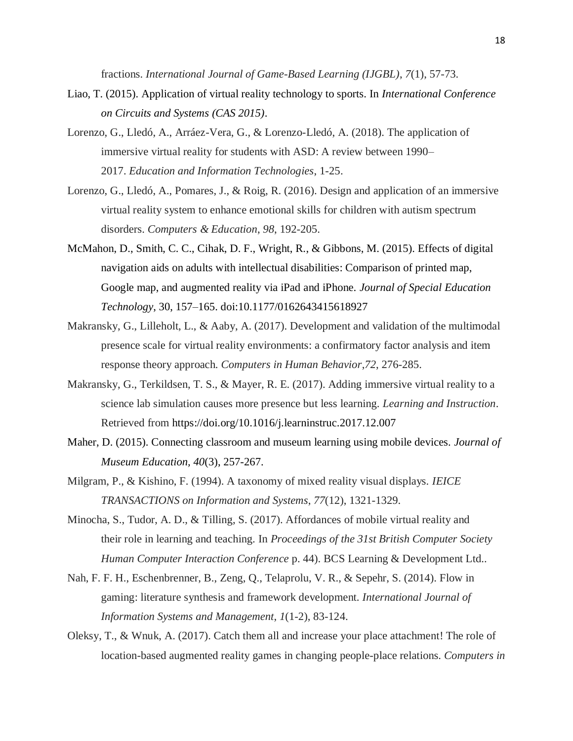fractions. *International Journal of Game-Based Learning (IJGBL)*, *7*(1), 57-73.

- Liao, T. (2015). Application of virtual reality technology to sports. In *International Conference on Circuits and Systems (CAS 2015)*.
- Lorenzo, G., Lledó, A., Arráez-Vera, G., & Lorenzo-Lledó, A. (2018). The application of immersive virtual reality for students with ASD: A review between 1990– 2017. *Education and Information Technologies*, 1-25.
- Lorenzo, G., Lledó, A., Pomares, J., & Roig, R. (2016). Design and application of an immersive virtual reality system to enhance emotional skills for children with autism spectrum disorders. *Computers & Education*, *98*, 192-205.
- McMahon, D., Smith, C. C., Cihak, D. F., Wright, R., & Gibbons, M. (2015). Effects of digital navigation aids on adults with intellectual disabilities: Comparison of printed map, Google map, and augmented reality via iPad and iPhone. *Journal of Special Education Technology*, 30, 157–165. doi:10.1177/0162643415618927
- Makransky, G., Lilleholt, L., & Aaby, A. (2017). Development and validation of the multimodal presence scale for virtual reality environments: a confirmatory factor analysis and item response theory approach. *Computers in Human Behavior*,*72*, 276-285.
- Makransky, G., Terkildsen, T. S., & Mayer, R. E. (2017). Adding immersive virtual reality to a science lab simulation causes more presence but less learning. *Learning and Instruction*. Retrieved from [https://doi.org/10.1016/j.learninstruc.2017.12.007](https://doi-org.ezproxy.lib.uts.edu.au/10.1016/j.learninstruc.2017.12.007)
- Maher, D. (2015). Connecting classroom and museum learning using mobile devices. *Journal of Museum Education, 40*(3), 257-267.
- Milgram, P., & Kishino, F. (1994). A taxonomy of mixed reality visual displays. *IEICE TRANSACTIONS on Information and Systems*, *77*(12), 1321-1329.
- Minocha, S., Tudor, A. D., & Tilling, S. (2017). Affordances of mobile virtual reality and their role in learning and teaching. In *Proceedings of the 31st British Computer Society Human Computer Interaction Conference* p. 44). BCS Learning & Development Ltd..
- Nah, F. F. H., Eschenbrenner, B., Zeng, Q., Telaprolu, V. R., & Sepehr, S. (2014). Flow in gaming: literature synthesis and framework development. *International Journal of Information Systems and Management*, *1*(1-2), 83-124.
- Oleksy, T., & Wnuk, A. (2017). Catch them all and increase your place attachment! The role of location-based augmented reality games in changing people-place relations. *Computers in*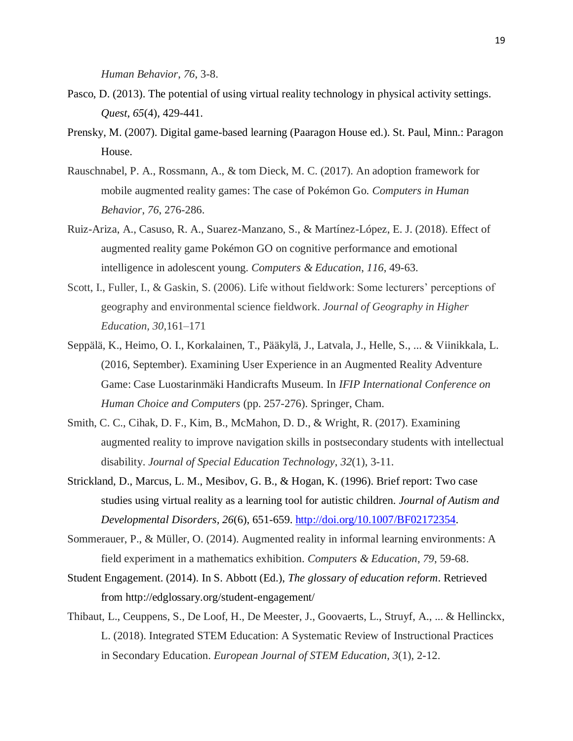*Human Behavior*, *76*, 3-8.

- Pasco, D. (2013). The potential of using virtual reality technology in physical activity settings. *Quest*, *65*(4), 429-441.
- Prensky, M. (2007). Digital game-based learning (Paaragon House ed.). St. Paul, Minn.: Paragon House.
- Rauschnabel, P. A., Rossmann, A., & tom Dieck, M. C. (2017). An adoption framework for mobile augmented reality games: The case of Pokémon Go. *Computers in Human Behavior*, *76*, 276-286.
- Ruiz-Ariza, A., Casuso, R. A., Suarez-Manzano, S., & Martínez-López, E. J. (2018). Effect of augmented reality game Pokémon GO on cognitive performance and emotional intelligence in adolescent young. *Computers & Education*, *116*, 49-63.
- Scott, I., Fuller, I., & Gaskin, S. (2006). Life without fieldwork: Some lecturers' perceptions of geography and environmental science fieldwork. *Journal of Geography in Higher Education, 30*,161–171
- Seppälä, K., Heimo, O. I., Korkalainen, T., Pääkylä, J., Latvala, J., Helle, S., ... & Viinikkala, L. (2016, September). Examining User Experience in an Augmented Reality Adventure Game: Case Luostarinmäki Handicrafts Museum. In *IFIP International Conference on Human Choice and Computers* (pp. 257-276). Springer, Cham.
- Smith, C. C., Cihak, D. F., Kim, B., McMahon, D. D., & Wright, R. (2017). Examining augmented reality to improve navigation skills in postsecondary students with intellectual disability. *Journal of Special Education Technology*, *32*(1), 3-11.
- Strickland, D., Marcus, L. M., Mesibov, G. B., & Hogan, K. (1996). Brief report: Two case studies using virtual reality as a learning tool for autistic children*. Journal of Autism and Developmental Disorders, 26*(6), 651-659. [http://doi.org/10.1007/BF02172354.](http://doi.org/10.1007/BF02172354)
- Sommerauer, P., & Müller, O. (2014). Augmented reality in informal learning environments: A field experiment in a mathematics exhibition. *Computers & Education*, *79*, 59-68.
- Student Engagement. (2014). In S. Abbott (Ed.), *The glossary of education reform*. Retrieved from http://edglossary.org/student-engagement/
- Thibaut, L., Ceuppens, S., De Loof, H., De Meester, J., Goovaerts, L., Struyf, A., ... & Hellinckx, L. (2018). Integrated STEM Education: A Systematic Review of Instructional Practices in Secondary Education. *European Journal of STEM Education*, *3*(1), 2-12.